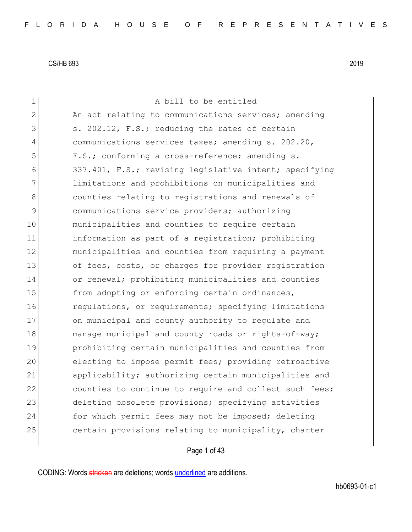| 1              | A bill to be entitled                                  |
|----------------|--------------------------------------------------------|
| $\overline{2}$ | An act relating to communications services; amending   |
| 3              | s. 202.12, F.S.; reducing the rates of certain         |
| 4              | communications services taxes; amending s. 202.20,     |
| 5              | F.S.; conforming a cross-reference; amending s.        |
| 6              | 337.401, F.S.; revising legislative intent; specifying |
| 7              | limitations and prohibitions on municipalities and     |
| 8              | counties relating to registrations and renewals of     |
| $\mathcal{G}$  | communications service providers; authorizing          |
| 10             | municipalities and counties to require certain         |
| 11             | information as part of a registration; prohibiting     |
| 12             | municipalities and counties from requiring a payment   |
| 13             | of fees, costs, or charges for provider registration   |
| 14             | or renewal; prohibiting municipalities and counties    |
| 15             | from adopting or enforcing certain ordinances,         |
| 16             | regulations, or requirements; specifying limitations   |
| 17             | on municipal and county authority to regulate and      |
| 18             | manage municipal and county roads or rights-of-way;    |
| 19             | prohibiting certain municipalities and counties from   |
| 20             | electing to impose permit fees; providing retroactive  |
| 21             | applicability; authorizing certain municipalities and  |
| 22             | counties to continue to require and collect such fees; |
| 23             | deleting obsolete provisions; specifying activities    |
| 24             | for which permit fees may not be imposed; deleting     |
| 25             | certain provisions relating to municipality, charter   |
|                |                                                        |

Page 1 of 43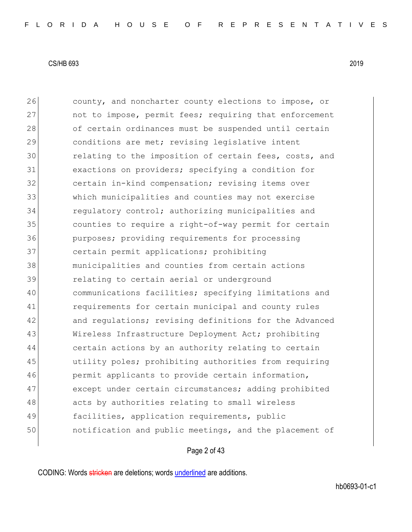26 county, and noncharter county elections to impose, or 27 and to impose, permit fees; requiring that enforcement 28 of certain ordinances must be suspended until certain 29 conditions are met; revising legislative intent 30 relating to the imposition of certain fees, costs, and 31 exactions on providers; specifying a condition for 32 certain in-kind compensation; revising items over 33 which municipalities and counties may not exercise 34 regulatory control; authorizing municipalities and 35 counties to require a right-of-way permit for certain 36 purposes; providing requirements for processing 37 certain permit applications; prohibiting 38 municipalities and counties from certain actions 39 **canacist relating to certain aerial or underground** 40 communications facilities; specifying limitations and 41 requirements for certain municipal and county rules 42 and regulations; revising definitions for the Advanced 43 Wireless Infrastructure Deployment Act; prohibiting 44 certain actions by an authority relating to certain 45 utility poles; prohibiting authorities from requiring 46 **permit applicants to provide certain information,** 47 except under certain circumstances; adding prohibited 48 acts by authorities relating to small wireless 49 facilities, application requirements, public 50 notification and public meetings, and the placement of

### Page 2 of 43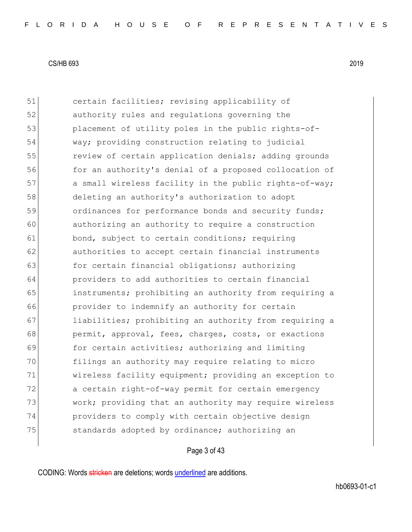51 certain facilities; revising applicability of 52 authority rules and regulations governing the 53 placement of utility poles in the public rights-of-54 way; providing construction relating to judicial 55 review of certain application denials; adding grounds 56 for an authority's denial of a proposed collocation of 57 a small wireless facility in the public rights-of-way; 58 deleting an authority's authorization to adopt 59 **b** ordinances for performance bonds and security funds; 60 authorizing an authority to require a construction 61 bond, subject to certain conditions; requiring 62 authorities to accept certain financial instruments 63 for certain financial obligations; authorizing 64 providers to add authorities to certain financial 65 instruments; prohibiting an authority from requiring a 66 provider to indemnify an authority for certain 67 liabilities; prohibiting an authority from requiring a 68 permit, approval, fees, charges, costs, or exactions 69 for certain activities; authorizing and limiting 70 filings an authority may require relating to micro 71 wireless facility equipment; providing an exception to 72 a certain right-of-way permit for certain emergency 73 work; providing that an authority may require wireless 74 providers to comply with certain objective design 75 standards adopted by ordinance; authorizing an

# Page 3 of 43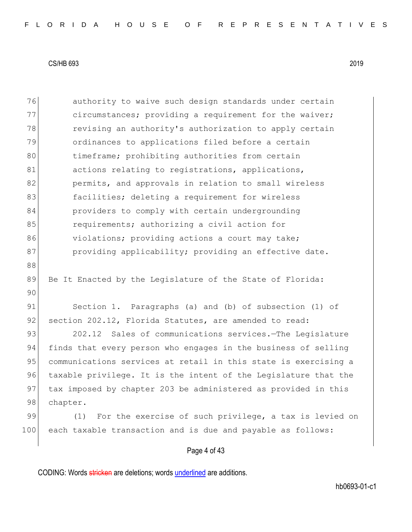76 authority to waive such design standards under certain 77 circumstances; providing a requirement for the waiver; 78 revising an authority's authorization to apply certain 79 ordinances to applications filed before a certain 80 timeframe; prohibiting authorities from certain 81 actions relating to registrations, applications, 82 permits, and approvals in relation to small wireless 83 **facilities;** deleting a requirement for wireless 84 providers to comply with certain undergrounding 85 **requirements;** authorizing a civil action for 86 violations; providing actions a court may take; 87 providing applicability; providing an effective date. 88 89 Be It Enacted by the Legislature of the State of Florida: 90 91 Section 1. Paragraphs (a) and (b) of subsection (1) of 92 section 202.12, Florida Statutes, are amended to read: 93 202.12 Sales of communications services. The Legislature 94 finds that every person who engages in the business of selling 95 communications services at retail in this state is exercising a 96 taxable privilege. It is the intent of the Legislature that the 97 tax imposed by chapter 203 be administered as provided in this 98 chapter. 99 (1) For the exercise of such privilege, a tax is levied on 100 each taxable transaction and is due and payable as follows:

Page 4 of 43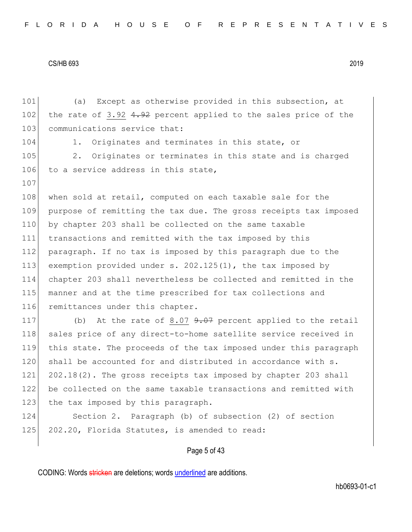| FLORIDA HOUSE OF REPRESENTATIVES |  |  |  |  |  |  |  |  |  |  |  |  |  |  |  |  |  |  |  |  |  |  |  |  |  |  |  |  |  |  |
|----------------------------------|--|--|--|--|--|--|--|--|--|--|--|--|--|--|--|--|--|--|--|--|--|--|--|--|--|--|--|--|--|--|
|----------------------------------|--|--|--|--|--|--|--|--|--|--|--|--|--|--|--|--|--|--|--|--|--|--|--|--|--|--|--|--|--|--|

107

101 (a) Except as otherwise provided in this subsection, at 102 the rate of 3.92  $4.92$  percent applied to the sales price of the 103 communications service that:

104 1. Originates and terminates in this state, or

105 2. Originates or terminates in this state and is charged 106 to a service address in this state,

108 when sold at retail, computed on each taxable sale for the 109 purpose of remitting the tax due. The gross receipts tax imposed 110 by chapter 203 shall be collected on the same taxable 111 transactions and remitted with the tax imposed by this 112 paragraph. If no tax is imposed by this paragraph due to the 113 exemption provided under s. 202.125(1), the tax imposed by 114 chapter 203 shall nevertheless be collected and remitted in the 115 manner and at the time prescribed for tax collections and 116 remittances under this chapter.

117 (b) At the rate of 8.07 9.07 percent applied to the retail 118 sales price of any direct-to-home satellite service received in 119 this state. The proceeds of the tax imposed under this paragraph 120 shall be accounted for and distributed in accordance with s. 121 202.18(2). The gross receipts tax imposed by chapter 203 shall 122 be collected on the same taxable transactions and remitted with 123 the tax imposed by this paragraph.

124 Section 2. Paragraph (b) of subsection (2) of section 125 202.20, Florida Statutes, is amended to read:

# Page 5 of 43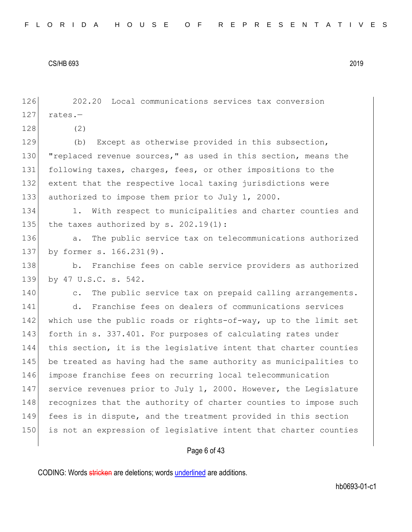126 202.20 Local communications services tax conversion  $127$  rates.- $128$  (2) 129 (b) Except as otherwise provided in this subsection, 130 "replaced revenue sources," as used in this section, means the 131 following taxes, charges, fees, or other impositions to the 132 extent that the respective local taxing jurisdictions were 133 authorized to impose them prior to July 1, 2000. 134 1. With respect to municipalities and charter counties and 135 the taxes authorized by  $s. 202.19(1)$ : 136 a. The public service tax on telecommunications authorized 137 by former s. 166.231(9). 138 b. Franchise fees on cable service providers as authorized 139 by 47 U.S.C. s. 542. 140 c. The public service tax on prepaid calling arrangements. 141 d. Franchise fees on dealers of communications services 142 which use the public roads or rights-of-way, up to the limit set 143 forth in s. 337.401. For purposes of calculating rates under 144 this section, it is the legislative intent that charter counties 145 be treated as having had the same authority as municipalities to 146 impose franchise fees on recurring local telecommunication 147 service revenues prior to July 1, 2000. However, the Legislature 148 recognizes that the authority of charter counties to impose such 149 fees is in dispute, and the treatment provided in this section 150 is not an expression of legislative intent that charter counties

# Page 6 of 43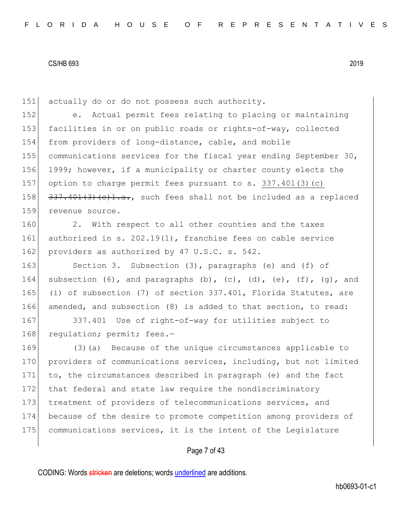151 actually do or do not possess such authority.

 e. Actual permit fees relating to placing or maintaining facilities in or on public roads or rights-of-way, collected from providers of long-distance, cable, and mobile 155 communications services for the fiscal year ending September 30, 1999; however, if a municipality or charter county elects the option to charge permit fees pursuant to s. 337.401(3)(c)  $\left(337.401(3)(e)+1.a.$ , such fees shall not be included as a replaced revenue source.

160 2. With respect to all other counties and the taxes 161 authorized in s. 202.19(1), franchise fees on cable service 162 providers as authorized by 47 U.S.C. s. 542.

163 Section 3. Subsection (3), paragraphs (e) and (f) of 164 subsection (6), and paragraphs (b), (c), (d), (e), (f), (g), and 165 (i) of subsection (7) of section 337.401, Florida Statutes, are 166 amended, and subsection (8) is added to that section, to read:

167 337.401 Use of right-of-way for utilities subject to 168 regulation; permit; fees.-

169 (3)(a) Because of the unique circumstances applicable to 170 providers of communications services, including, but not limited 171 to, the circumstances described in paragraph (e) and the fact 172 that federal and state law require the nondiscriminatory 173 treatment of providers of telecommunications services, and 174 because of the desire to promote competition among providers of 175 communications services, it is the intent of the Legislature

# Page 7 of 43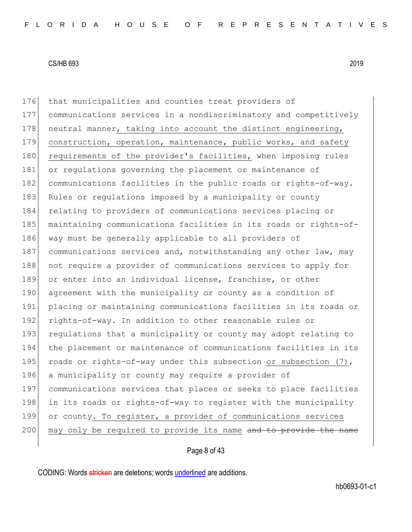176 that municipalities and counties treat providers of 177 communications services in a nondiscriminatory and competitively 178 neutral manner, taking into account the distinct engineering, 179 construction, operation, maintenance, public works, and safety 180 requirements of the provider's facilities, when imposing rules 181 or regulations governing the placement or maintenance of 182 communications facilities in the public roads or rights-of-way. 183 Rules or regulations imposed by a municipality or county 184 relating to providers of communications services placing or 185 maintaining communications facilities in its roads or rights-of-186 way must be generally applicable to all providers of 187 communications services and, notwithstanding any other law, may 188 not require a provider of communications services to apply for 189 or enter into an individual license, franchise, or other 190 agreement with the municipality or county as a condition of 191 placing or maintaining communications facilities in its roads or 192 rights-of-way. In addition to other reasonable rules or 193 regulations that a municipality or county may adopt relating to 194 the placement or maintenance of communications facilities in its 195 roads or rights-of-way under this subsection or subsection  $(7)$ , 196 a municipality or county may require a provider of 197 communications services that places or seeks to place facilities 198 in its roads or rights-of-way to register with the municipality 199 or county. To register, a provider of communications services 200 may only be required to provide its name and to provide the name

# Page 8 of 43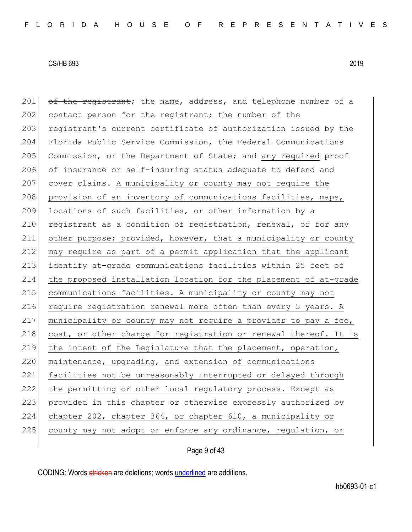201  $\sigma$  of the registrant; the name, address, and telephone number of a 202 contact person for the registrant; the number of the 203 registrant's current certificate of authorization issued by the 204 Florida Public Service Commission, the Federal Communications 205 Commission, or the Department of State; and any required proof 206 of insurance or self-insuring status adequate to defend and 207 cover claims. A municipality or county may not require the 208 provision of an inventory of communications facilities, maps, 209 locations of such facilities, or other information by a 210 registrant as a condition of registration, renewal, or for any 211 other purpose; provided, however, that a municipality or county 212 may require as part of a permit application that the applicant 213 identify at-grade communications facilities within 25 feet of 214 the proposed installation location for the placement of at-grade 215 communications facilities. A municipality or county may not 216 require registration renewal more often than every 5 years. A 217 municipality or county may not require a provider to pay a fee, 218 cost, or other charge for registration or renewal thereof. It is 219 the intent of the Legislature that the placement, operation, 220 maintenance, upgrading, and extension of communications 221 facilities not be unreasonably interrupted or delayed through 222 the permitting or other local regulatory process. Except as 223 provided in this chapter or otherwise expressly authorized by 224 chapter 202, chapter 364, or chapter 610, a municipality or 225 county may not adopt or enforce any ordinance, regulation, or

Page 9 of 43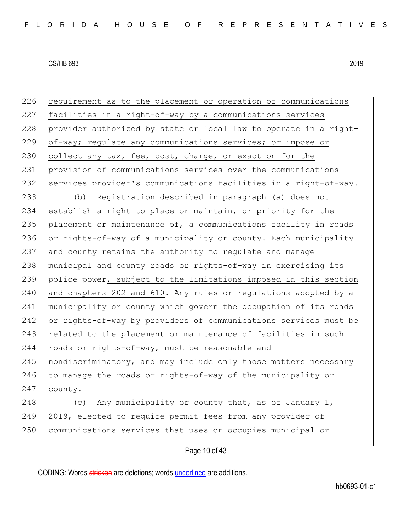| 226 | requirement as to the placement or operation of communications   |
|-----|------------------------------------------------------------------|
| 227 | facilities in a right-of-way by a communications services        |
| 228 | provider authorized by state or local law to operate in a right- |
| 229 | of-way; regulate any communications services; or impose or       |
| 230 | collect any tax, fee, cost, charge, or exaction for the          |
| 231 | provision of communications services over the communications     |
| 232 | services provider's communications facilities in a right-of-way. |
| 233 | Registration described in paragraph (a) does not<br>(b)          |
| 234 | establish a right to place or maintain, or priority for the      |
| 235 | placement or maintenance of, a communications facility in roads  |
| 236 | or rights-of-way of a municipality or county. Each municipality  |
| 237 | and county retains the authority to regulate and manage          |
| 238 | municipal and county roads or rights-of-way in exercising its    |
| 239 | police power, subject to the limitations imposed in this section |
| 240 | and chapters 202 and 610. Any rules or regulations adopted by a  |
| 241 | municipality or county which govern the occupation of its roads  |
| 242 | or rights-of-way by providers of communications services must be |
| 243 | related to the placement or maintenance of facilities in such    |
| 244 | roads or rights-of-way, must be reasonable and                   |
| 245 | nondiscriminatory, and may include only those matters necessary  |
| 246 | to manage the roads or rights-of-way of the municipality or      |
| 247 | county.                                                          |
| 248 | Any municipality or county that, as of January 1,<br>(C)         |
| 249 | 2019, elected to require permit fees from any provider of        |
| 250 | communications services that uses or occupies municipal or       |
|     |                                                                  |

Page 10 of 43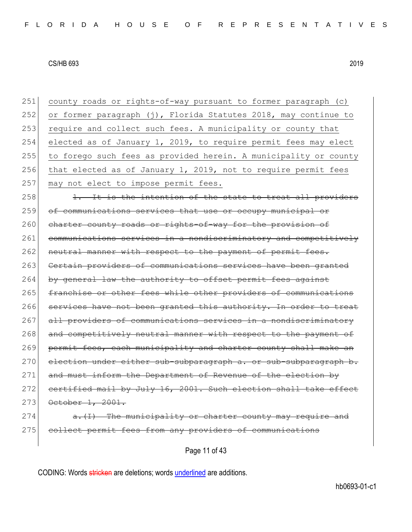251 county roads or rights-of-way pursuant to former paragraph (c) 252 or former paragraph  $(j)$ , Florida Statutes 2018, may continue to 253 require and collect such fees. A municipality or county that 254 elected as of January 1, 2019, to require permit fees may elect 255 to forego such fees as provided herein. A municipality or county 256 that elected as of January 1, 2019, not to require permit fees 257 may not elect to impose permit fees.  $258$  1. It is the intention of the state to treat all providers 259 of communications services that use or occupy municipal or 260 charter county roads or rights-of-way for the provision of 261 communications services in a nondiscriminatory and competitively 262 neutral manner with respect to the payment of permit fees. 263 Certain providers of communications services have been granted 264 by general law the authority to offset permit fees against 265 franchise or other fees while other providers of communications 266 services have not been granted this authority. In order to treat 267 all providers of communications services in a nondiscriminatory 268 and competitively neutral manner with respect to the payment of 269 permit fees, each municipality and charter county shall make an 270 election under either sub-subparagraph a. or sub-subparagraph b. 271 and must inform the Department of Revenue of the election by 272 certified mail by July 16, 2001. Such election shall take effect 273 October 1, 2001.  $274$  a. (I) The municipality or charter county may require and

275 collect permit fees from any providers of communications

Page 11 of 43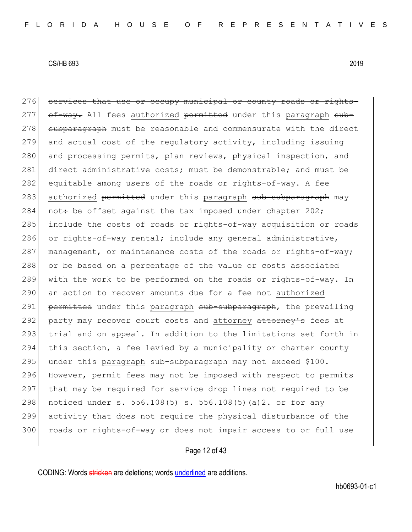276 services that use or occupy municipal or county roads or rights-277 of-way. All fees authorized permitted under this paragraph sub-278 subparagraph must be reasonable and commensurate with the direct 279 and actual cost of the regulatory activity, including issuing 280 and processing permits, plan reviews, physical inspection, and 281 direct administrative costs; must be demonstrable; and must be 282 equitable among users of the roads or rights-of-way. A fee 283 authorized permitted under this paragraph sub-subparagraph may 284 not: be offset against the tax imposed under chapter  $202$ ; 285 include the costs of roads or rights-of-way acquisition or roads 286 or rights-of-way rental; include any general administrative, 287 management, or maintenance costs of the roads or rights-of-way; 288 or be based on a percentage of the value or costs associated 289 with the work to be performed on the roads or rights-of-way. In 290 an action to recover amounts due for a fee not authorized 291 permitted under this paragraph sub-subparagraph, the prevailing 292 party may recover court costs and attorney attorney's fees at 293 trial and on appeal. In addition to the limitations set forth in 294 this section, a fee levied by a municipality or charter county 295 under this paragraph  $\frac{1}{2}$  subparagraph may not exceed \$100. 296 However, permit fees may not be imposed with respect to permits 297 that may be required for service drop lines not required to be 298 noticed under s. 556.108(5) s. 556.108(5)(a)2. or for any 299 activity that does not require the physical disturbance of the 300 roads or rights-of-way or does not impair access to or full use

# Page 12 of 43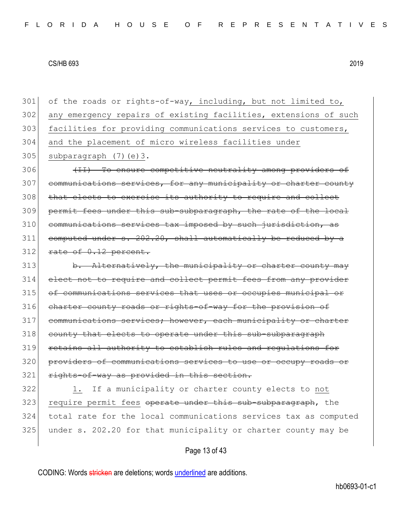301 of the roads or rights-of-way, including, but not limited to, 302 any emergency repairs of existing facilities, extensions of such 303 facilities for providing communications services to customers, 304 and the placement of micro wireless facilities under  $305$  subparagraph  $(7)(e)3$ .

306 (II) To ensure competitive neutrality among providers of 307 communications services, for any municipality or charter county 308 | that elects to exercise its authority to require and collect 309 permit fees under this sub-subparagraph, the rate of the local 310 communications services tax imposed by such jurisdiction, as  $311$  computed under s. 202.20, shall automatically be reduced by a  $312$  rate of  $0.12$  percent.

 $313$  b. Alternatively, the municipality or charter county may 314 elect not to require and collect permit fees from any provider 315 of communications services that uses or occupies municipal or 316 charter county roads or rights-of-way for the provision of 317 communications services; however, each municipality or charter 318 county that elects to operate under this sub-subparagraph 319 retains all authority to establish rules and regulations for 320 providers of communications services to use or occupy roads or 321 rights-of-way as provided in this section.

322 1. If a municipality or charter county elects to not 323 require permit fees operate under this sub-subparagraph, the 324 total rate for the local communications services tax as computed 325 under s. 202.20 for that municipality or charter county may be

# Page 13 of 43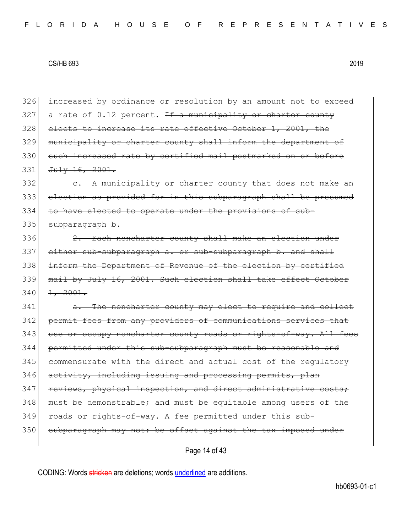326 increased by ordinance or resolution by an amount not to exceed  $327$  a rate of 0.12 percent. If a municipality or charter county 328 elects to increase its rate effective October 1, 2001, the 329 municipality or charter county shall inform the department of 330 such increased rate by certified mail postmarked on or before 331 July 16, 2001. 332 e. A municipality or charter county that does not make an 333 election as provided for in this subparagraph shall be presumed 334 to have elected to operate under the provisions of sub-335 subparagraph b. 336 2. Each noncharter county shall make an election under 337 either sub-subparagraph a. or sub-subparagraph b. and shall 338 inform the Department of Revenue of the election by certified 339 mail by July 16, 2001. Such election shall take effect October  $340$   $\frac{1}{2001}$ . 341 a. The noncharter county may elect to require and collect 342 permit fees from any providers of communications services that 343 use or occupy noncharter county roads or rights-of-way. All fees 344 permitted under this sub-subparagraph must be reasonable and  $345$  commensurate with the direct and actual cost of the regulatory  $346$  activity, including issuing and processing permits, plan 347 reviews, physical inspection, and direct administrative costs; 348 must be demonstrable; and must be equitable among users of the 349 roads or rights-of-way. A fee permitted under this sub-350 subparagraph may not: be offset against the tax imposed under

Page 14 of 43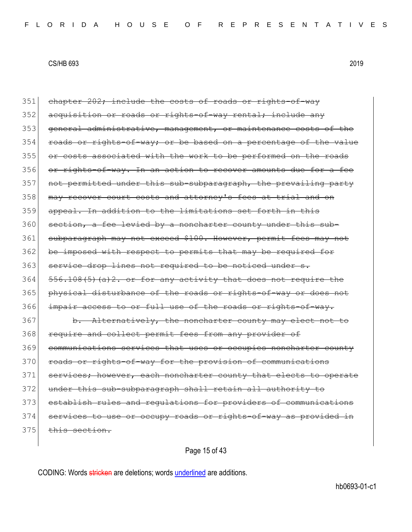351 chapter 202; include the costs of roads or rights-of-way 352 acquisition or roads or rights-of-way rental; include any 353 general administrative, management, or maintenance costs of the  $354$  roads or rights-of-way; or be based on a percentage of the value 355 or costs associated with the work to be performed on the roads 356 or rights-of-way. In an action to recover amounts due for a fee 357 not permitted under this sub-subparagraph, the prevailing party 358 may recover court costs and attorney's fees at trial and on 359 appeal. In addition to the limitations set forth in this 360 section, a fee levied by a noncharter county under this sub-361 subparagraph may not exceed \$100. However, permit fees may not 362 be imposed with respect to permits that may be required for 363 service drop lines not required to be noticed under s.  $364$   $556.108(5)$  (a) 2. or for any activity that does not require the 365 physical disturbance of the roads or rights-of-way or does not 366 impair access to or full use of the roads or rights-of-way. 367 b. Alternatively, the noncharter county may elect not to 368 require and collect permit fees from any provider of 369 communications services that uses or occupies noncharter county 370 roads or rights-of-way for the provision of communications 371 services; however, each noncharter county that elects to operate 372 under this sub-subparagraph shall retain all authority to 373 establish rules and regulations for providers of communications 374 services to use or occupy roads or rights-of-way as provided in 375 this section.

Page 15 of 43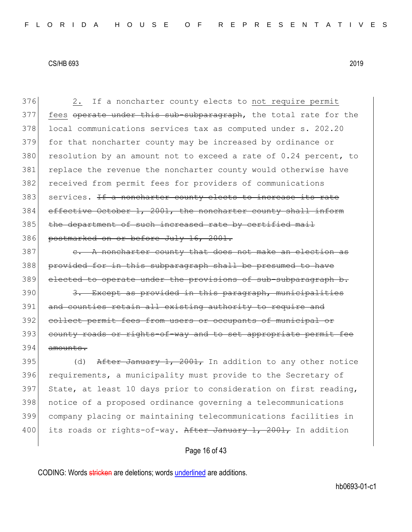376 2. If a noncharter county elects to not require permit 377 fees operate under this sub-subparagraph, the total rate for the 378 local communications services tax as computed under s. 202.20 379 for that noncharter county may be increased by ordinance or 380 resolution by an amount not to exceed a rate of  $0.24$  percent, to 381 replace the revenue the noncharter county would otherwise have 382 received from permit fees for providers of communications 383 services. <del>If a noncharter county elects to increase its rate</del> 384 effective October 1, 2001, the noncharter county shall inform 385 the department of such increased rate by certified mail 386 postmarked on or before July 16, 2001.

 $387$  e. A noncharter county that does not make an election as 388 provided for in this subparagraph shall be presumed to have 389 elected to operate under the provisions of sub-subparagraph b.

390 3. Except as provided in this paragraph, municipalities 391 and counties retain all existing authority to require and 392 collect permit fees from users or occupants of municipal or 393 county roads or rights-of-way and to set appropriate permit fee 394 amounts.

395 (d) After January 1, 2001, In addition to any other notice 396 requirements, a municipality must provide to the Secretary of 397 State, at least 10 days prior to consideration on first reading, 398 notice of a proposed ordinance governing a telecommunications 399 company placing or maintaining telecommunications facilities in 400 its roads or rights-of-way. After January 1, 2001, In addition

Page 16 of 43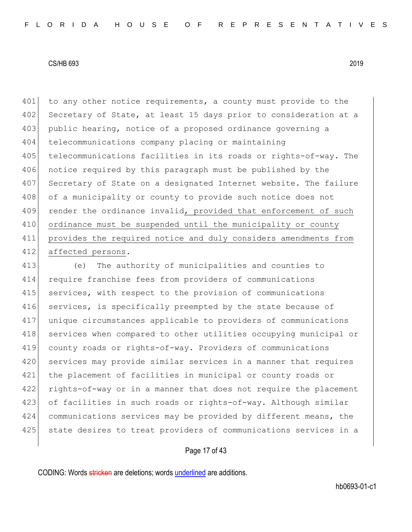401 to any other notice requirements, a county must provide to the 402 Secretary of State, at least 15 days prior to consideration at a 403 public hearing, notice of a proposed ordinance governing a 404 telecommunications company placing or maintaining 405 telecommunications facilities in its roads or rights-of-way. The 406 notice required by this paragraph must be published by the 407 Secretary of State on a designated Internet website. The failure 408 of a municipality or county to provide such notice does not 409 render the ordinance invalid, provided that enforcement of such 410 ordinance must be suspended until the municipality or county 411 provides the required notice and duly considers amendments from 412 affected persons.

 (e) The authority of municipalities and counties to require franchise fees from providers of communications services, with respect to the provision of communications 416 services, is specifically preempted by the state because of unique circumstances applicable to providers of communications 418 services when compared to other utilities occupying municipal or county roads or rights-of-way. Providers of communications 420 services may provide similar services in a manner that requires the placement of facilities in municipal or county roads or rights-of-way or in a manner that does not require the placement 423 of facilities in such roads or rights-of-way. Although similar communications services may be provided by different means, the 425 state desires to treat providers of communications services in a

# Page 17 of 43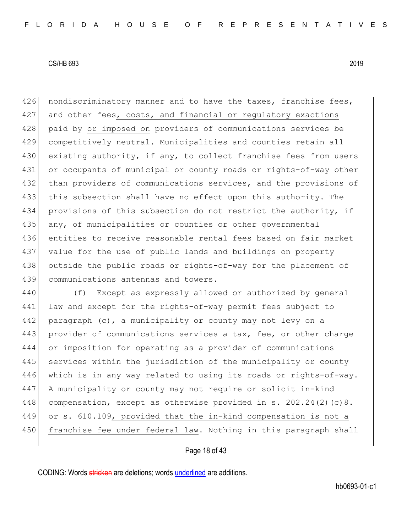426 nondiscriminatory manner and to have the taxes, franchise fees, 427 and other fees, costs, and financial or regulatory exactions 428 paid by or imposed on providers of communications services be 429 competitively neutral. Municipalities and counties retain all 430 existing authority, if any, to collect franchise fees from users 431 or occupants of municipal or county roads or rights-of-way other 432 than providers of communications services, and the provisions of 433 this subsection shall have no effect upon this authority. The 434 provisions of this subsection do not restrict the authority, if 435 any, of municipalities or counties or other governmental 436 entities to receive reasonable rental fees based on fair market 437 value for the use of public lands and buildings on property 438 outside the public roads or rights-of-way for the placement of 439 communications antennas and towers.

440 (f) Except as expressly allowed or authorized by general 441 law and except for the rights-of-way permit fees subject to 442 paragraph (c), a municipality or county may not levy on a 443 provider of communications services a tax, fee, or other charge 444 or imposition for operating as a provider of communications 445 services within the jurisdiction of the municipality or county 446 which is in any way related to using its roads or rights-of-way. 447 A municipality or county may not require or solicit in-kind 448 compensation, except as otherwise provided in s. 202.24(2)(c)8. 449 or s. 610.109, provided that the in-kind compensation is not a 450 franchise fee under federal law. Nothing in this paragraph shall

# Page 18 of 43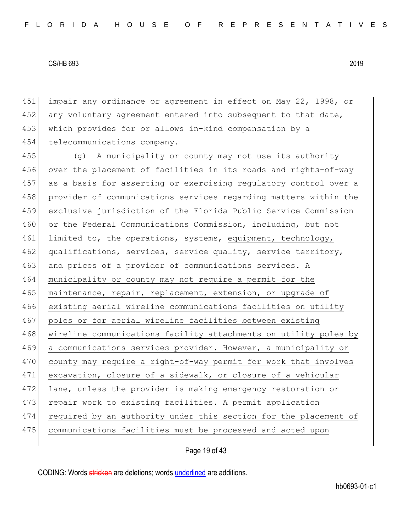451 impair any ordinance or agreement in effect on May 22, 1998, or 452 any voluntary agreement entered into subsequent to that date, 453 which provides for or allows in-kind compensation by a 454 telecommunications company.

455 (g) A municipality or county may not use its authority 456 over the placement of facilities in its roads and rights-of-way 457 as a basis for asserting or exercising regulatory control over a 458 provider of communications services regarding matters within the 459 exclusive jurisdiction of the Florida Public Service Commission 460 or the Federal Communications Commission, including, but not 461 limited to, the operations, systems, equipment, technology, 462 qualifications, services, service quality, service territory, 463 and prices of a provider of communications services. A 464 municipality or county may not require a permit for the 465 maintenance, repair, replacement, extension, or upgrade of 466 existing aerial wireline communications facilities on utility 467 poles or for aerial wireline facilities between existing 468 wireline communications facility attachments on utility poles by 469 a communications services provider. However, a municipality or 470 county may require a right-of-way permit for work that involves 471 excavation, closure of a sidewalk, or closure of a vehicular 472 lane, unless the provider is making emergency restoration or 473 repair work to existing facilities. A permit application 474 required by an authority under this section for the placement of 475 communications facilities must be processed and acted upon

Page 19 of 43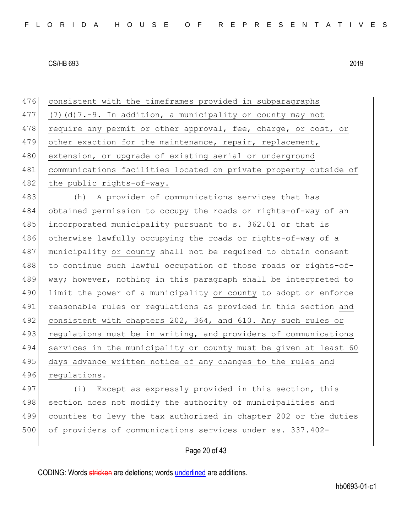476 consistent with the timeframes provided in subparagraphs 477 (7)(d)7.-9. In addition, a municipality or county may not 478 require any permit or other approval, fee, charge, or cost, or 479 other exaction for the maintenance, repair, replacement, 480 extension, or upgrade of existing aerial or underground 481 communications facilities located on private property outside of 482 the public rights-of-way.

483 (h) A provider of communications services that has 484 obtained permission to occupy the roads or rights-of-way of an 485 incorporated municipality pursuant to s. 362.01 or that is 486 otherwise lawfully occupying the roads or rights-of-way of a 487 municipality or county shall not be required to obtain consent 488 to continue such lawful occupation of those roads or rights-of-489 way; however, nothing in this paragraph shall be interpreted to 490 limit the power of a municipality or county to adopt or enforce 491 reasonable rules or regulations as provided in this section and 492 consistent with chapters 202, 364, and 610. Any such rules or 493 regulations must be in writing, and providers of communications 494 services in the municipality or county must be given at least 60 495 days advance written notice of any changes to the rules and

496 regulations.

497 (i) Except as expressly provided in this section, this 498 section does not modify the authority of municipalities and 499 counties to levy the tax authorized in chapter 202 or the duties 500 of providers of communications services under ss. 337.402-

# Page 20 of 43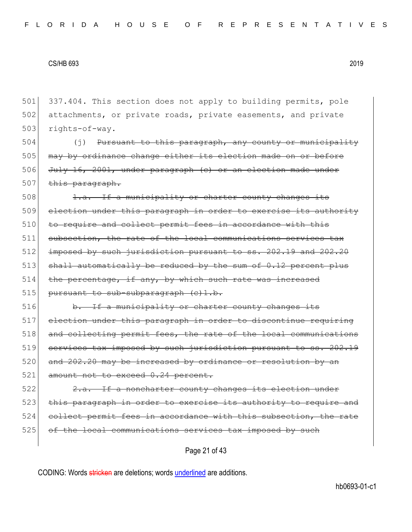501 337.404. This section does not apply to building permits, pole 502 attachments, or private roads, private easements, and private 503 rights-of-way.

504 (j) Pursuant to this paragraph, any county or municipality 505 may by ordinance change either its election made on or before 506 July 16, 2001, under paragraph (c) or an election made under 507 this paragraph.

508  $\vert$  1.a. If a municipality or charter county changes its 509 election under this paragraph in order to exercise its authority 510 to require and collect permit fees in accordance with this 511 subsection, the rate of the local communications services tax 512 imposed by such jurisdiction pursuant to ss. 202.19 and 202.20 513 shall automatically be reduced by the sum of  $0.12$  percent plus 514 the percentage, if any, by which such rate was increased  $515$  pursuant to sub-subparagraph  $(e)1.b.$ 

516 b. If a municipality or charter county changes its 517 election under this paragraph in order to discontinue requiring 518 and collecting permit fees, the rate of the local communications 519 services tax imposed by such jurisdiction pursuant to ss. 202.19 520 and 202.20 may be increased by ordinance or resolution by an 521 amount not to exceed 0.24 percent.

 $522$   $2.a.$  If a noncharter county changes its election under 523 this paragraph in order to exercise its authority to require and 524 collect permit fees in accordance with this subsection, the rate 525 of the local communications services tax imposed by such

Page 21 of 43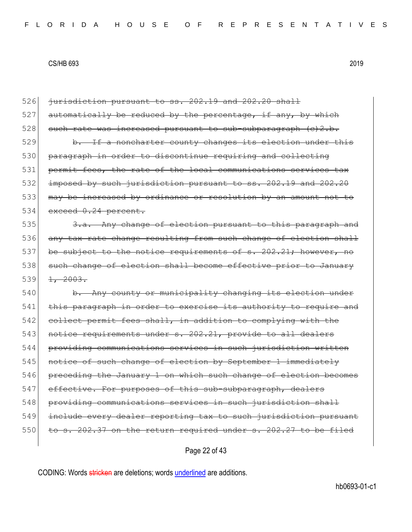526 <del>jurisdiction pursuant to ss. 202.19 and 202.20 shall</del>  $527$  automatically be reduced by the percentage, if any, by which  $528$  such rate was increased pursuant to sub-subparagraph (c)2.b. 529 b. If a noncharter county changes its election under this 530 paragraph in order to discontinue requiring and collecting 531 permit fees, the rate of the local communications services tax 532 imposed by such jurisdiction pursuant to ss. 202.19 and 202.20 533 may be increased by ordinance or resolution by an amount not to 534 exceed 0.24 percent. 535 3.a. Any change of election pursuant to this paragraph and

536 any tax rate change resulting from such change of election shall 537 be subject to the notice requirements of s. 202.21; however, no 538 such change of election shall become effective prior to January  $539$   $\frac{1}{2}$  2003.

540 b. Any county or municipality changing its election under 541 this paragraph in order to exercise its authority to require and 542 collect permit fees shall, in addition to complying with the 543 notice requirements under s. 202.21, provide to all dealers 544 providing communications services in such jurisdiction written 545 notice of such change of election by September 1 immediately 546 preceding the January 1 on which such change of election becomes 547 effective. For purposes of this sub-subparagraph, dealers 548 providing communications services in such jurisdiction shall 549 include every dealer reporting tax to such jurisdiction pursuant  $550$  to s. 202.37 on the return required under s. 202.27 to be filed

Page 22 of 43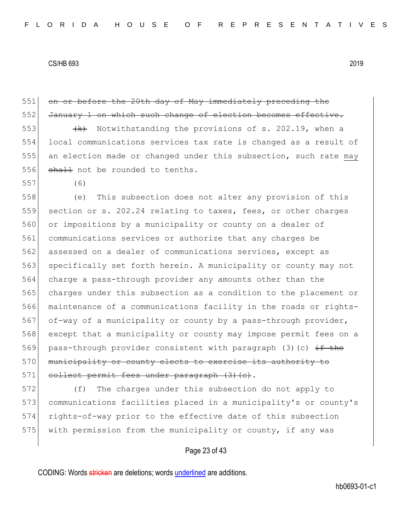|     | 551 on or before the 20th day of May immediately preceding the   |
|-----|------------------------------------------------------------------|
| 552 | January 1 on which such change of election becomes effective.    |
| 553 | $\{k\}$ Notwithstanding the provisions of s. 202.19, when a      |
| 554 | local communications services tax rate is changed as a result of |
| 555 | an election made or changed under this subsection, such rate may |
| 556 | shall not be rounded to tenths.                                  |
|     |                                                                  |

557 (6)

558 (e) This subsection does not alter any provision of this 559 section or s. 202.24 relating to taxes, fees, or other charges 560 or impositions by a municipality or county on a dealer of 561 communications services or authorize that any charges be 562 assessed on a dealer of communications services, except as 563 specifically set forth herein. A municipality or county may not 564 charge a pass-through provider any amounts other than the 565 charges under this subsection as a condition to the placement or 566 maintenance of a communications facility in the roads or rights-567 of-way of a municipality or county by a pass-through provider, 568 except that a municipality or county may impose permit fees on a 569 pass-through provider consistent with paragraph (3)(c)  $\pm f$  the 570 municipality or county elects to exercise its authority to 571 collect permit fees under paragraph (3)(c).

572 (f) The charges under this subsection do not apply to 573 communications facilities placed in a municipality's or county's 574 rights-of-way prior to the effective date of this subsection 575 with permission from the municipality or county, if any was

# Page 23 of 43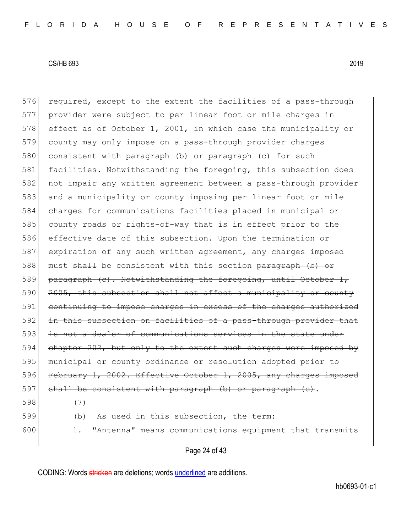576 required, except to the extent the facilities of a pass-through 577 provider were subject to per linear foot or mile charges in 578 effect as of October 1, 2001, in which case the municipality or 579 county may only impose on a pass-through provider charges 580 consistent with paragraph (b) or paragraph (c) for such 581 facilities. Notwithstanding the foregoing, this subsection does 582 not impair any written agreement between a pass-through provider 583 and a municipality or county imposing per linear foot or mile 584 charges for communications facilities placed in municipal or 585 county roads or rights-of-way that is in effect prior to the 586 effective date of this subsection. Upon the termination or 587 expiration of any such written agreement, any charges imposed 588 must shall be consistent with this section paragraph (b) or 589 paragraph (c). Notwithstanding the foregoing, until October 1, 590 2005, this subsection shall not affect a municipality or county 591 continuing to impose charges in excess of the charges authorized 592 in this subsection on facilities of a pass-through provider  $593$  is not a dealer of communications services in the state 594 chapter 202, but only to the extent such charges were imposed by 595 municipal or county ordinance or resolution adopted prior 596 February 1, 2002. Effective October 1, 2005, any charges imposed 597 shall be consistent with paragraph (b) or paragraph (c). 598 (7) 599 (b) As used in this subsection, the term: 600 1. "Antenna" means communications equipment that transmits

# Page 24 of 43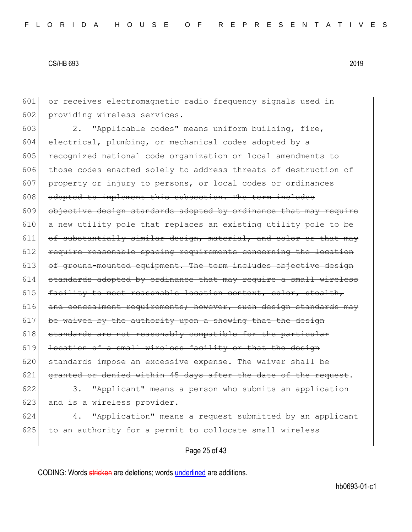601 or receives electromagnetic radio frequency signals used in 602 providing wireless services.

603 2. "Applicable codes" means uniform building, fire, 604 electrical, plumbing, or mechanical codes adopted by a 605 recognized national code organization or local amendments to 606 those codes enacted solely to address threats of destruction of 607 property or injury to persons, or local codes or ordinances 608 adopted to implement this subsection. The term includes 609 objective design standards adopted by ordinance that may require  $610$  a new utility pole that replaces an existing utility pole to be  $611$  of substantially similar design, material, and color or that may 612 require reasonable spacing requirements concerning the location 613 of ground-mounted equipment. The term includes objective design  $614$  standards adopted by ordinance that may require a small wireless  $615$  facility to meet reasonable location context, color, stealth, 616 and concealment requirements; however, such design standards may  $617$  be waived by the authority upon a showing that the design  $618$  standards are not reasonably compatible for the particular 619 location of a small wireless facility or that the design 620 standards impose an excessive expense. The waiver shall be  $621$  granted or denied within 45 days after the date of the request. 622 3. "Applicant" means a person who submits an application 623 and is a wireless provider.

624 4. "Application" means a request submitted by an applicant 625 to an authority for a permit to collocate small wireless

Page 25 of 43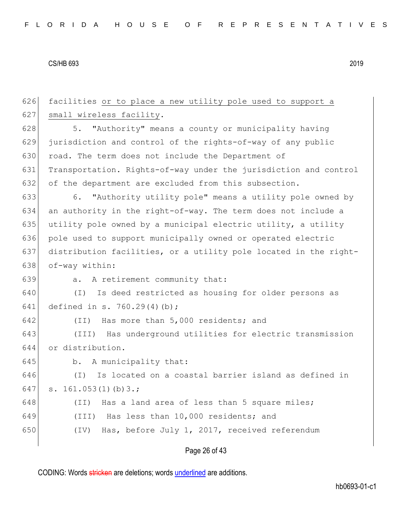| 626 | facilities or to place a new utility pole used to support a      |
|-----|------------------------------------------------------------------|
| 627 | small wireless facility.                                         |
| 628 | "Authority" means a county or municipality having<br>5.          |
| 629 | jurisdiction and control of the rights-of-way of any public      |
| 630 | road. The term does not include the Department of                |
| 631 | Transportation. Rights-of-way under the jurisdiction and control |
| 632 | of the department are excluded from this subsection.             |
| 633 | "Authority utility pole" means a utility pole owned by<br>6.     |
| 634 | an authority in the right-of-way. The term does not include a    |
| 635 | utility pole owned by a municipal electric utility, a utility    |
| 636 | pole used to support municipally owned or operated electric      |
| 637 | distribution facilities, or a utility pole located in the right- |
| 638 | of-way within:                                                   |
| 639 | a. A retirement community that:                                  |
| 640 | Is deed restricted as housing for older persons as<br>(T)        |
| 641 | defined in s. 760.29(4)(b);                                      |
| 642 | (II) Has more than 5,000 residents; and                          |
| 643 | (III) Has underground utilities for electric transmission        |
| 644 | or distribution.                                                 |
| 645 | b. A municipality that:                                          |
| 646 | Is located on a coastal barrier island as defined in<br>$(\top)$ |
| 647 | s. $161.053(1)(b)3.$ ;                                           |
| 648 | (II) Has a land area of less than 5 square miles;                |
| 649 | (III) Has less than 10,000 residents; and                        |
| 650 | Has, before July 1, 2017, received referendum<br>(TV)            |
|     |                                                                  |

# Page 26 of 43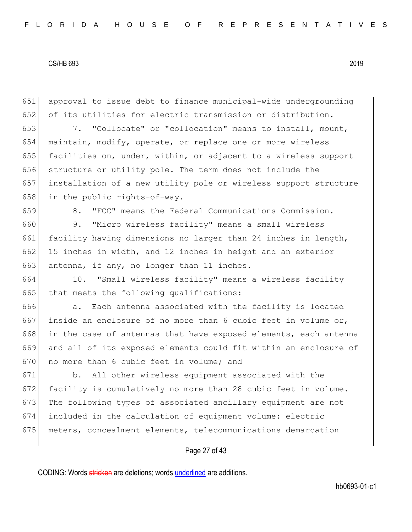651 approval to issue debt to finance municipal-wide undergrounding 652 of its utilities for electric transmission or distribution.

653 7. "Collocate" or "collocation" means to install, mount, maintain, modify, operate, or replace one or more wireless facilities on, under, within, or adjacent to a wireless support structure or utility pole. The term does not include the installation of a new utility pole or wireless support structure 658 in the public rights-of-way.

659 8. "FCC" means the Federal Communications Commission.

660 9. "Micro wireless facility" means a small wireless 661 facility having dimensions no larger than 24 inches in length, 662 15 inches in width, and 12 inches in height and an exterior 663 antenna, if any, no longer than 11 inches.

664 10. "Small wireless facility" means a wireless facility 665 that meets the following qualifications:

666 666 666 a. Each antenna associated with the facility is located 667 inside an enclosure of no more than 6 cubic feet in volume or, 668 in the case of antennas that have exposed elements, each antenna 669 and all of its exposed elements could fit within an enclosure of 670 no more than 6 cubic feet in volume; and

671 b. All other wireless equipment associated with the 672 facility is cumulatively no more than 28 cubic feet in volume. 673 The following types of associated ancillary equipment are not 674 included in the calculation of equipment volume: electric 675 meters, concealment elements, telecommunications demarcation

# Page 27 of 43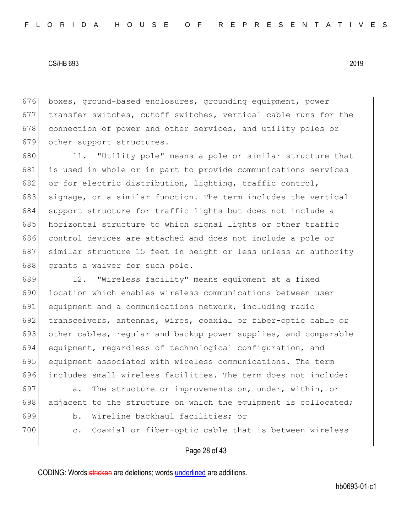676 boxes, ground-based enclosures, grounding equipment, power 677 transfer switches, cutoff switches, vertical cable runs for the 678 connection of power and other services, and utility poles or 679 other support structures.

680 11. "Utility pole" means a pole or similar structure that 681 is used in whole or in part to provide communications services 682 or for electric distribution, lighting, traffic control, 683 signage, or a similar function. The term includes the vertical 684 support structure for traffic lights but does not include a 685 horizontal structure to which signal lights or other traffic 686 control devices are attached and does not include a pole or 687 similar structure 15 feet in height or less unless an authority 688 grants a waiver for such pole.

689 12. "Wireless facility" means equipment at a fixed location which enables wireless communications between user equipment and a communications network, including radio transceivers, antennas, wires, coaxial or fiber-optic cable or other cables, regular and backup power supplies, and comparable equipment, regardless of technological configuration, and equipment associated with wireless communications. The term includes small wireless facilities. The term does not include:

697 a. The structure or improvements on, under, within, or 698 adjacent to the structure on which the equipment is collocated; 699 b. Wireline backhaul facilities; or 700 c. Coaxial or fiber-optic cable that is between wireless

### Page 28 of 43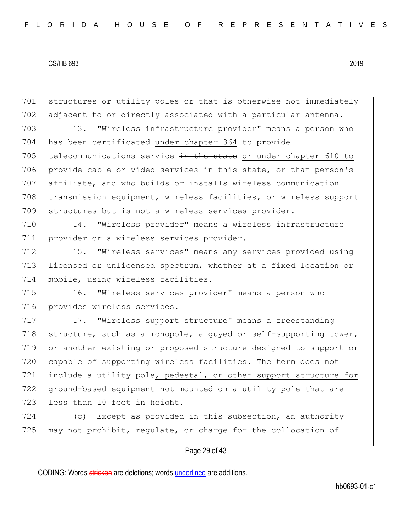701 structures or utility poles or that is otherwise not immediately 702 adjacent to or directly associated with a particular antenna. 703 13. "Wireless infrastructure provider" means a person who 704 has been certificated under chapter 364 to provide 705 telecommunications service in the state or under chapter 610 to 706 provide cable or video services in this state, or that person's 707 affiliate, and who builds or installs wireless communication 708 transmission equipment, wireless facilities, or wireless support 709 structures but is not a wireless services provider.

710 14. "Wireless provider" means a wireless infrastructure 711 provider or a wireless services provider.

712 15. "Wireless services" means any services provided using 713 licensed or unlicensed spectrum, whether at a fixed location or 714 mobile, using wireless facilities.

715 16. "Wireless services provider" means a person who 716 provides wireless services.

717 17. "Wireless support structure" means a freestanding 718 structure, such as a monopole, a quyed or self-supporting tower, 719 or another existing or proposed structure designed to support or 720 capable of supporting wireless facilities. The term does not 721 include a utility pole, pedestal, or other support structure for 722 ground-based equipment not mounted on a utility pole that are 723 less than 10 feet in height.

724 (c) Except as provided in this subsection, an authority 725 may not prohibit, regulate, or charge for the collocation of

# Page 29 of 43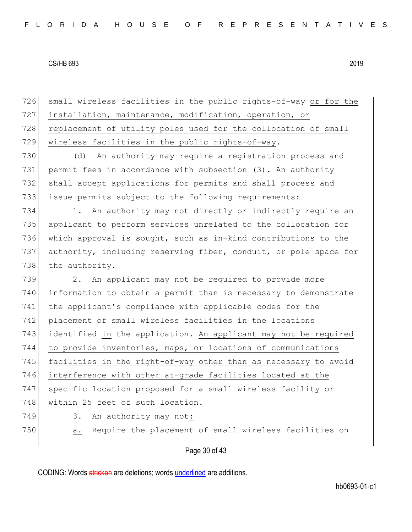726 small wireless facilities in the public rights-of-way or for the 727 installation, maintenance, modification, operation, or 728 replacement of utility poles used for the collocation of small 729 wireless facilities in the public rights-of-way.

730 (d) An authority may require a registration process and 731 permit fees in accordance with subsection (3). An authority 732 shall accept applications for permits and shall process and 733 issue permits subject to the following requirements:

734 1. An authority may not directly or indirectly require an 735 applicant to perform services unrelated to the collocation for 736 which approval is sought, such as in-kind contributions to the 737 authority, including reserving fiber, conduit, or pole space for 738 the authority.

739 2. An applicant may not be required to provide more 740 information to obtain a permit than is necessary to demonstrate 741 the applicant's compliance with applicable codes for the 742 placement of small wireless facilities in the locations 743 identified in the application. An applicant may not be required 744 to provide inventories, maps, or locations of communications 745 facilities in the right-of-way other than as necessary to avoid 746 interference with other at-grade facilities located at the 747 specific location proposed for a small wireless facility or 748 within 25 feet of such location. 749 3. An authority may not: 750 a. Require the placement of small wireless facilities on

# Page 30 of 43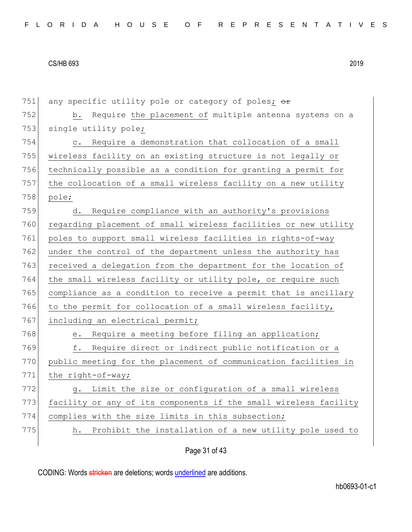| 751 | any specific utility pole or category of poles; or                   |
|-----|----------------------------------------------------------------------|
| 752 | Require the placement of multiple antenna systems on a<br>b.         |
| 753 | single utility pole;                                                 |
| 754 | Require a demonstration that collocation of a small<br>$\mathbb C$ . |
| 755 | wireless facility on an existing structure is not legally or         |
| 756 | technically possible as a condition for granting a permit for        |
| 757 | the collocation of a small wireless facility on a new utility        |
| 758 | pole;                                                                |
| 759 | Require compliance with an authority's provisions<br>d.              |
| 760 | regarding placement of small wireless facilities or new utility      |
| 761 | poles to support small wireless facilities in rights-of-way          |
| 762 | under the control of the department unless the authority has         |
| 763 | received a delegation from the department for the location of        |
| 764 | the small wireless facility or utility pole, or require such         |
| 765 | compliance as a condition to receive a permit that is ancillary      |
| 766 | to the permit for collocation of a small wireless facility,          |
| 767 | including an electrical permit;                                      |
| 768 | Require a meeting before filing an application;<br>е.                |
| 769 | Require direct or indirect public notification or a<br>f.            |
| 770 | public meeting for the placement of communication facilities in      |
| 771 | the right-of-way;                                                    |
| 772 | Limit the size or configuration of a small wireless<br>g.            |
| 773 | facility or any of its components if the small wireless facility     |
| 774 | complies with the size limits in this subsection;                    |
| 775 | Prohibit the installation of a new utility pole used to<br>h.        |
|     |                                                                      |

Page 31 of 43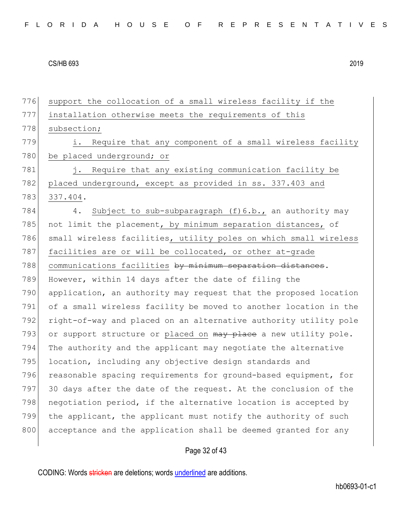| 776 | support the collocation of a small wireless facility if the           |
|-----|-----------------------------------------------------------------------|
| 777 | installation otherwise meets the requirements of this                 |
| 778 | subsection;                                                           |
| 779 | Require that any component of a small wireless facility<br>i.         |
| 780 | be placed underground; or                                             |
| 781 | Require that any existing communication facility be<br>$\mathbf{i}$ . |
| 782 | placed underground, except as provided in ss. 337.403 and             |
| 783 | 337.404.                                                              |
| 784 | 4.<br>Subject to sub-subparagraph (f) 6.b., an authority may          |
| 785 | not limit the placement, by minimum separation distances, of          |
| 786 | small wireless facilities, utility poles on which small wireless      |
| 787 | facilities are or will be collocated, or other at-grade               |
| 788 | communications facilities by minimum separation distances.            |
| 789 | However, within 14 days after the date of filing the                  |
| 790 | application, an authority may request that the proposed location      |
| 791 | of a small wireless facility be moved to another location in the      |
| 792 | right-of-way and placed on an alternative authority utility pole      |
| 793 | or support structure or placed on may place a new utility pole.       |
| 794 | The authority and the applicant may negotiate the alternative         |
| 795 | location, including any objective design standards and                |
| 796 | reasonable spacing requirements for ground-based equipment, for       |
| 797 | 30 days after the date of the request. At the conclusion of the       |
| 798 | negotiation period, if the alternative location is accepted by        |
| 799 | the applicant, the applicant must notify the authority of such        |
| 800 | acceptance and the application shall be deemed granted for any        |
|     |                                                                       |

# Page 32 of 43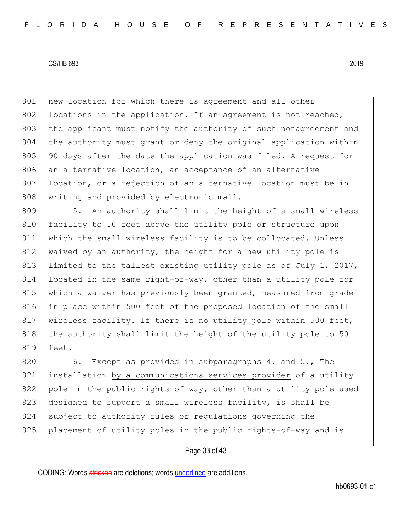801 new location for which there is agreement and all other 802 locations in the application. If an agreement is not reached, 803 the applicant must notify the authority of such nonagreement and 804 the authority must grant or deny the original application within 805 90 days after the date the application was filed. A request for 806 an alternative location, an acceptance of an alternative 807 location, or a rejection of an alternative location must be in 808 writing and provided by electronic mail.

809 5. An authority shall limit the height of a small wireless 810 facility to 10 feet above the utility pole or structure upon 811 which the small wireless facility is to be collocated. Unless 812 waived by an authority, the height for a new utility pole is 813 limited to the tallest existing utility pole as of July 1, 2017, 814 located in the same right-of-way, other than a utility pole for 815 which a waiver has previously been granted, measured from grade 816 in place within 500 feet of the proposed location of the small 817 wireless facility. If there is no utility pole within 500 feet, 818 the authority shall limit the height of the utility pole to 50 819 feet.

820 6. Except as provided in subparagraphs 4. and  $5.7$  The 821 installation by a communications services provider of a utility 822 pole in the public rights-of-way, other than a utility pole used 823 designed to support a small wireless facility, is shall be 824 subject to authority rules or regulations governing the 825 placement of utility poles in the public rights-of-way and is

Page 33 of 43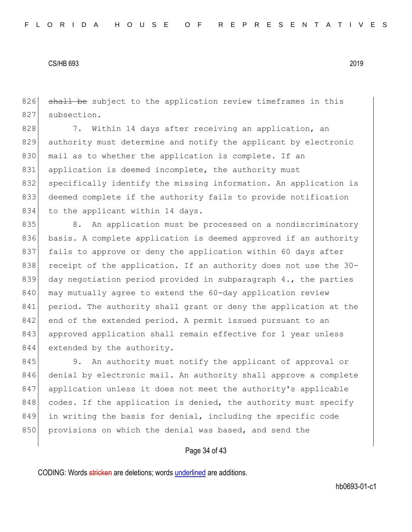826 shall be subject to the application review timeframes in this 827 subsection.

828 7. Within 14 days after receiving an application, an 829 authority must determine and notify the applicant by electronic 830 mail as to whether the application is complete. If an 831 application is deemed incomplete, the authority must 832 specifically identify the missing information. An application is 833 deemed complete if the authority fails to provide notification 834 to the applicant within 14 days.

835 8. An application must be processed on a nondiscriminatory 836 basis. A complete application is deemed approved if an authority 837 fails to approve or deny the application within 60 days after 838 receipt of the application. If an authority does not use the 30-839 day negotiation period provided in subparagraph  $4.$ , the parties 840 may mutually agree to extend the 60-day application review 841 period. The authority shall grant or deny the application at the 842 end of the extended period. A permit issued pursuant to an 843 approved application shall remain effective for 1 year unless 844 extended by the authority.

845 9. An authority must notify the applicant of approval or 846 denial by electronic mail. An authority shall approve a complete 847 application unless it does not meet the authority's applicable 848 codes. If the application is denied, the authority must specify 849 in writing the basis for denial, including the specific code 850 provisions on which the denial was based, and send the

### Page 34 of 43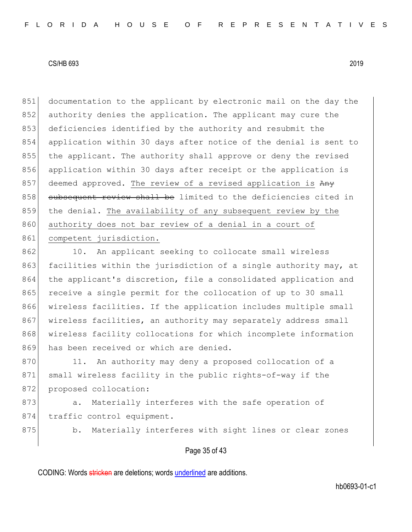851 documentation to the applicant by electronic mail on the day the 852 authority denies the application. The applicant may cure the 853 deficiencies identified by the authority and resubmit the 854 application within 30 days after notice of the denial is sent to 855 the applicant. The authority shall approve or deny the revised 856 application within 30 days after receipt or the application is 857 deemed approved. The review of a revised application is Any 858 subsequent review shall be limited to the deficiencies cited in 859 the denial. The availability of any subsequent review by the 860 authority does not bar review of a denial in a court of 861 competent jurisdiction.

862 10. An applicant seeking to collocate small wireless 863 facilities within the jurisdiction of a single authority may, at 864 the applicant's discretion, file a consolidated application and 865 receive a single permit for the collocation of up to 30 small 866 wireless facilities. If the application includes multiple small 867 wireless facilities, an authority may separately address small 868 wireless facility collocations for which incomplete information 869 has been received or which are denied.

870 11. An authority may deny a proposed collocation of a 871 small wireless facility in the public rights-of-way if the 872 proposed collocation:

873 a. Materially interferes with the safe operation of 874 traffic control equipment.

875 b. Materially interferes with sight lines or clear zones

# Page 35 of 43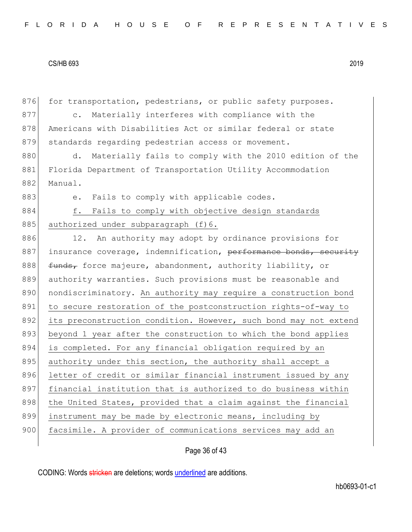| 876 | for transportation, pedestrians, or public safety purposes.      |
|-----|------------------------------------------------------------------|
| 877 | Materially interferes with compliance with the<br>$\circ$ .      |
| 878 | Americans with Disabilities Act or similar federal or state      |
| 879 | standards regarding pedestrian access or movement.               |
| 880 | Materially fails to comply with the 2010 edition of the<br>d.    |
| 881 | Florida Department of Transportation Utility Accommodation       |
| 882 | Manual.                                                          |
| 883 | Fails to comply with applicable codes.<br>e.                     |
| 884 | f.<br>Fails to comply with objective design standards            |
| 885 | authorized under subparagraph (f)6.                              |
| 886 | An authority may adopt by ordinance provisions for<br>12.        |
| 887 | insurance coverage, indemnification, performance bonds, security |
| 888 | funds, force majeure, abandonment, authority liability, or       |
| 889 | authority warranties. Such provisions must be reasonable and     |
| 890 | nondiscriminatory. An authority may require a construction bond  |
| 891 | to secure restoration of the postconstruction rights-of-way to   |
| 892 | its preconstruction condition. However, such bond may not extend |
| 893 | beyond 1 year after the construction to which the bond applies   |
| 894 | is completed. For any financial obligation required by an        |
| 895 | authority under this section, the authority shall accept a       |
| 896 | letter of credit or similar financial instrument issued by any   |
| 897 | financial institution that is authorized to do business within   |
| 898 | the United States, provided that a claim against the financial   |
| 899 | instrument may be made by electronic means, including by         |
| 900 | facsimile. A provider of communications services may add an      |
|     |                                                                  |

Page 36 of 43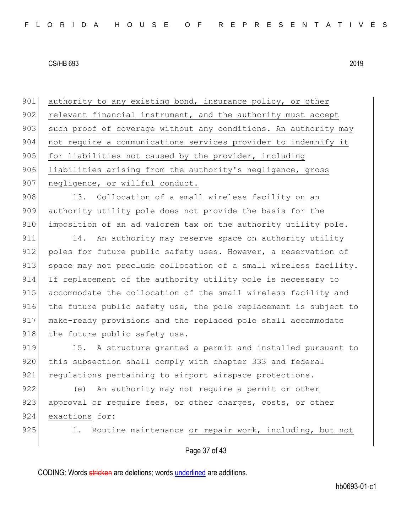901 authority to any existing bond, insurance policy, or other 902 relevant financial instrument, and the authority must accept 903 such proof of coverage without any conditions. An authority may 904 not require a communications services provider to indemnify it 905 for liabilities not caused by the provider, including 906 liabilities arising from the authority's negligence, gross 907 | negligence, or willful conduct.

908 13. Collocation of a small wireless facility on an 909 authority utility pole does not provide the basis for the 910 imposition of an ad valorem tax on the authority utility pole.

911 14. An authority may reserve space on authority utility 912 poles for future public safety uses. However, a reservation of 913 space may not preclude collocation of a small wireless facility. 914 If replacement of the authority utility pole is necessary to 915 accommodate the collocation of the small wireless facility and 916 the future public safety use, the pole replacement is subject to 917 make-ready provisions and the replaced pole shall accommodate 918 the future public safety use.

919 15. A structure granted a permit and installed pursuant to 920 this subsection shall comply with chapter 333 and federal 921 requlations pertaining to airport airspace protections.

922 (e) An authority may not require a permit or other 923 approval or require fees,  $\theta$ r other charges, costs, or other 924 exactions for:

925 1. Routine maintenance or repair work, including, but not

# Page 37 of 43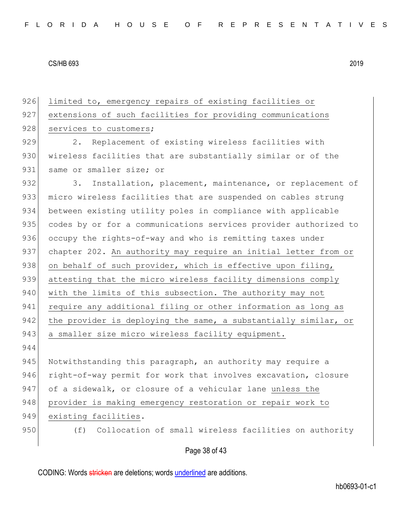926 limited to, emergency repairs of existing facilities or 927 extensions of such facilities for providing communications 928 services to customers; 929 2. Replacement of existing wireless facilities with 930 | wireless facilities that are substantially similar or of the 931 same or smaller size; or 932 3. Installation, placement, maintenance, or replacement of 933 micro wireless facilities that are suspended on cables strung 934 between existing utility poles in compliance with applicable 935 codes by or for a communications services provider authorized to 936 occupy the rights-of-way and who is remitting taxes under 937 chapter 202. An authority may require an initial letter from or 938 on behalf of such provider, which is effective upon filing, 939 attesting that the micro wireless facility dimensions comply 940 with the limits of this subsection. The authority may not 941 require any additional filing or other information as long as 942 the provider is deploying the same, a substantially similar, or 943 a smaller size micro wireless facility equipment. 944 945 Notwithstanding this paragraph, an authority may require a 946 right-of-way permit for work that involves excavation, closure 947 of a sidewalk, or closure of a vehicular lane unless the 948 provider is making emergency restoration or repair work to 949 existing facilities. 950 (f) Collocation of small wireless facilities on authority

Page 38 of 43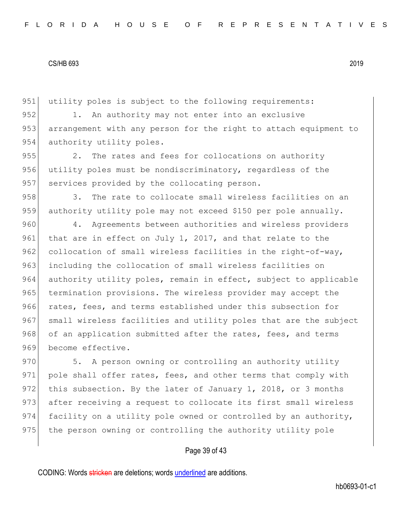951 utility poles is subject to the following requirements:

952 1. An authority may not enter into an exclusive 953 arrangement with any person for the right to attach equipment to 954 authority utility poles.

955 2. The rates and fees for collocations on authority 956 utility poles must be nondiscriminatory, regardless of the 957 services provided by the collocating person.

958 3. The rate to collocate small wireless facilities on an 959 authority utility pole may not exceed \$150 per pole annually.

960 4. Agreements between authorities and wireless providers 961 that are in effect on July 1, 2017, and that relate to the 962 collocation of small wireless facilities in the right-of-way, 963 including the collocation of small wireless facilities on 964 authority utility poles, remain in effect, subject to applicable 965 termination provisions. The wireless provider may accept the 966 rates, fees, and terms established under this subsection for 967 small wireless facilities and utility poles that are the subject 968 of an application submitted after the rates, fees, and terms 969 become effective.

970 5. A person owning or controlling an authority utility 971 pole shall offer rates, fees, and other terms that comply with 972 this subsection. By the later of January 1, 2018, or 3 months 973 after receiving a request to collocate its first small wireless 974 facility on a utility pole owned or controlled by an authority, 975 the person owning or controlling the authority utility pole

# Page 39 of 43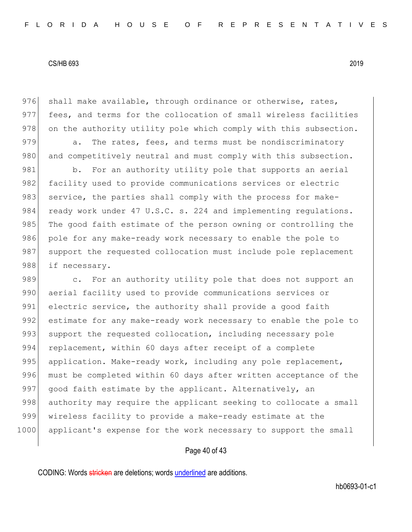976 shall make available, through ordinance or otherwise, rates, 977 fees, and terms for the collocation of small wireless facilities 978 on the authority utility pole which comply with this subsection.

979 a. The rates, fees, and terms must be nondiscriminatory 980 and competitively neutral and must comply with this subsection.

981 b. For an authority utility pole that supports an aerial 982 facility used to provide communications services or electric 983 service, the parties shall comply with the process for make-984 ready work under 47 U.S.C. s. 224 and implementing regulations. 985 The good faith estimate of the person owning or controlling the 986 pole for any make-ready work necessary to enable the pole to 987 support the requested collocation must include pole replacement 988 if necessary.

989 c. For an authority utility pole that does not support an 990 aerial facility used to provide communications services or 991 electric service, the authority shall provide a good faith 992 estimate for any make-ready work necessary to enable the pole to 993 support the requested collocation, including necessary pole 994 replacement, within 60 days after receipt of a complete 995 application. Make-ready work, including any pole replacement, 996 must be completed within 60 days after written acceptance of the 997 good faith estimate by the applicant. Alternatively, an 998 authority may require the applicant seeking to collocate a small 999 wireless facility to provide a make-ready estimate at the 1000 applicant's expense for the work necessary to support the small

# Page 40 of 43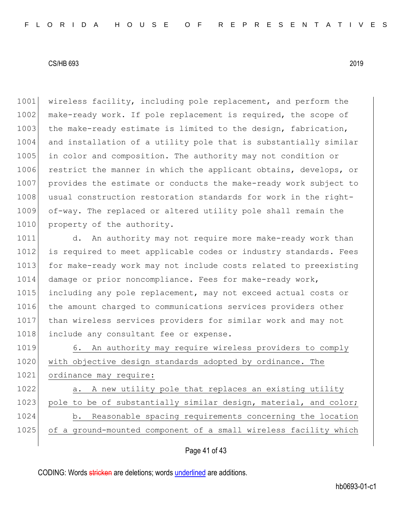1001 wireless facility, including pole replacement, and perform the 1002 make-ready work. If pole replacement is required, the scope of 1003 the make-ready estimate is limited to the design, fabrication, 1004 and installation of a utility pole that is substantially similar 1005 in color and composition. The authority may not condition or 1006 restrict the manner in which the applicant obtains, develops, or 1007 provides the estimate or conducts the make-ready work subject to 1008 usual construction restoration standards for work in the right-1009 of-way. The replaced or altered utility pole shall remain the 1010 property of the authority.

1011 d. An authority may not require more make-ready work than 1012 is required to meet applicable codes or industry standards. Fees 1013 for make-ready work may not include costs related to preexisting 1014 damage or prior noncompliance. Fees for make-ready work, 1015 including any pole replacement, may not exceed actual costs or 1016 the amount charged to communications services providers other 1017 than wireless services providers for similar work and may not 1018 include any consultant fee or expense.

1019 6. An authority may require wireless providers to comply 1020 with objective design standards adopted by ordinance. The 1021 ordinance may require: 1022 a. A new utility pole that replaces an existing utility 1023 pole to be of substantially similar design, material, and color; 1024 b. Reasonable spacing requirements concerning the location 1025 of a ground-mounted component of a small wireless facility which

# Page 41 of 43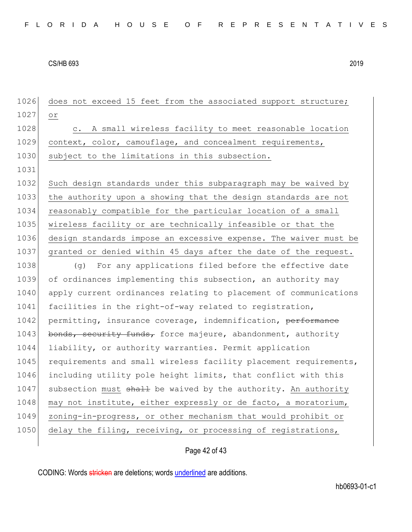| 1026 | does not exceed 15 feet from the associated support structure;     |
|------|--------------------------------------------------------------------|
| 1027 | Оr                                                                 |
| 1028 | A small wireless facility to meet reasonable location<br>$\circ$ . |
| 1029 | context, color, camouflage, and concealment requirements,          |
| 1030 | subject to the limitations in this subsection.                     |
| 1031 |                                                                    |
| 1032 | Such design standards under this subparagraph may be waived by     |
| 1033 | the authority upon a showing that the design standards are not     |
| 1034 | reasonably compatible for the particular location of a small       |
| 1035 | wireless facility or are technically infeasible or that the        |
| 1036 | design standards impose an excessive expense. The waiver must be   |
| 1037 | granted or denied within 45 days after the date of the request.    |
| 1038 | For any applications filed before the effective date<br>$(\alpha)$ |
| 1039 | of ordinances implementing this subsection, an authority may       |
| 1040 | apply current ordinances relating to placement of communications   |
| 1041 | facilities in the right-of-way related to registration,            |
| 1042 | permitting, insurance coverage, indemnification, performance       |
| 1043 | bonds, security funds, force majeure, abandonment, authority       |
| 1044 | liability, or authority warranties. Permit application             |
| 1045 | requirements and small wireless facility placement requirements,   |
| 1046 | including utility pole height limits, that conflict with this      |
| 1047 | subsection must shall be waived by the authority. An authority     |
| 1048 | may not institute, either expressly or de facto, a moratorium,     |
| 1049 | zoning-in-progress, or other mechanism that would prohibit or      |
| 1050 | delay the filing, receiving, or processing of registrations,       |
|      |                                                                    |

Page 42 of 43